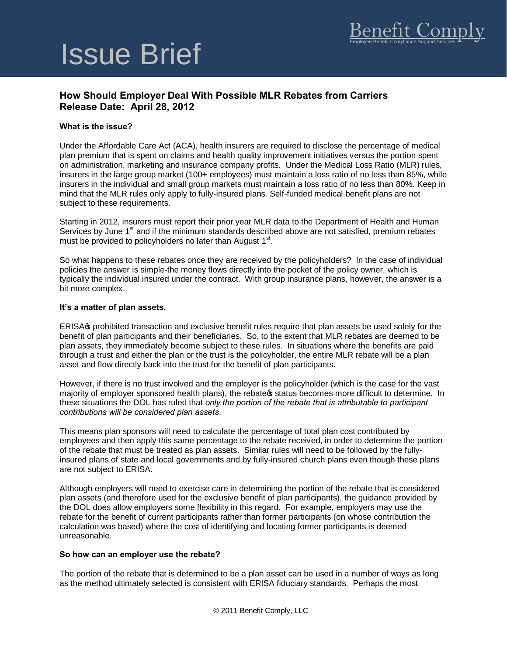# Issue Brief

## **How Should Employer Deal With Possible MLR Rebates from Carriers Release Date: April 28, 2012**

### **What is the issue?**

Under the Affordable Care Act (ACA), health insurers are required to disclose the percentage of medical plan premium that is spent on claims and health quality improvement initiatives versus the portion spent on administration, marketing and insurance company profits. Under the Medical Loss Ratio (MLR) rules, insurers in the large group market (100+ employees) must maintain a loss ratio of no less than 85%, while insurers in the individual and small group markets must maintain a loss ratio of no less than 80%. Keep in mind that the MLR rules only apply to fully-insured plans. Self-funded medical benefit plans are not subject to these requirements.

Starting in 2012, insurers must report their prior year MLR data to the Department of Health and Human Services by June 1<sup>st</sup> and if the minimum standards described above are not satisfied, premium rebates must be provided to policyholders no later than August 1<sup>st</sup>.

So what happens to these rebates once they are received by the policyholders? In the case of individual policies the answer is simple-the money flows directly into the pocket of the policy owner, which is typically the individual insured under the contract. With group insurance plans, however, the answer is a bit more complex.

#### **It's a matter of plan assets.**

ERISAG prohibited transaction and exclusive benefit rules require that plan assets be used solely for the benefit of plan participants and their beneficiaries. So, to the extent that MLR rebates are deemed to be plan assets, they immediately become subject to these rules. In situations where the benefits are paid through a trust and either the plan or the trust is the policyholder, the entire MLR rebate will be a plan asset and flow directly back into the trust for the benefit of plan participants.

However, if there is no trust involved and the employer is the policyholder (which is the case for the vast majority of employer sponsored health plans), the rebate tstatus becomes more difficult to determine. In these situations the DOL has ruled that *only the portion of the rebate that is attributable to participant contributions will be considered plan assets*.

This means plan sponsors will need to calculate the percentage of total plan cost contributed by employees and then apply this same percentage to the rebate received, in order to determine the portion of the rebate that must be treated as plan assets. Similar rules will need to be followed by the fullyinsured plans of state and local governments and by fully-insured church plans even though these plans are not subject to ERISA.

Although employers will need to exercise care in determining the portion of the rebate that is considered plan assets (and therefore used for the exclusive benefit of plan participants), the guidance provided by the DOL does allow employers some flexibility in this regard. For example, employers may use the rebate for the benefit of current participants rather than former participants (on whose contribution the calculation was based) where the cost of identifying and locating former participants is deemed unreasonable.

#### **So how can an employer use the rebate?**

The portion of the rebate that is determined to be a plan asset can be used in a number of ways as long as the method ultimately selected is consistent with ERISA fiduciary standards. Perhaps the most